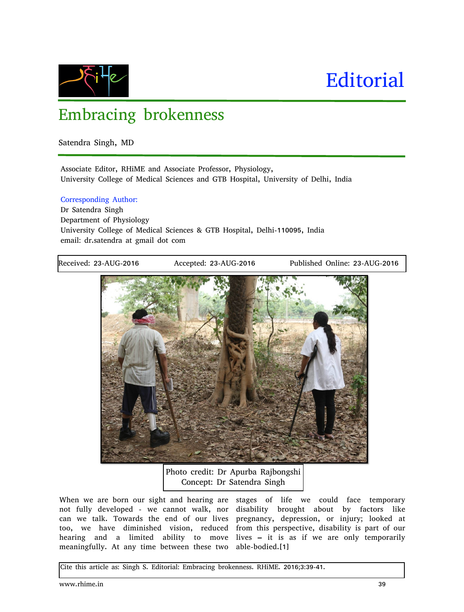

# **Editorial**

## Embracing brokenness

Satendra Singh, MD

Associate Editor, RHiME and Associate Professor, Physiology, University College of Medical Sciences and GTB Hospital, University of Delhi, India

#### Corresponding Author:

Dr Satendra Singh Department of Physiology University College of Medical Sciences & GTB Hospital, Delhi-110095, India email: dr.satendra at gmail dot com

Received: 23-AUG-2016 Accepted: 23-AUG-2016 Published Online: 23-AUG-2016



Photo credit: Dr Apurba Rajbongshi Concept: Dr Satendra Singh

When we are born our sight and hearing are stages of life we could face temporary not fully developed - we cannot walk, nor disability brought about by factors like can we talk. Towards the end of our lives pregnancy, depression, or injury; looked at too, we have diminished vision, reduced from this perspective, disability is part of our hearing and a limited ability to move lives – it is as if we are only temporarily meaningfully. At any time between these two able-bodied.[1]

Cite this article as: Singh S. Editorial: Embracing brokenness. RHiME. 2016;3:39-41.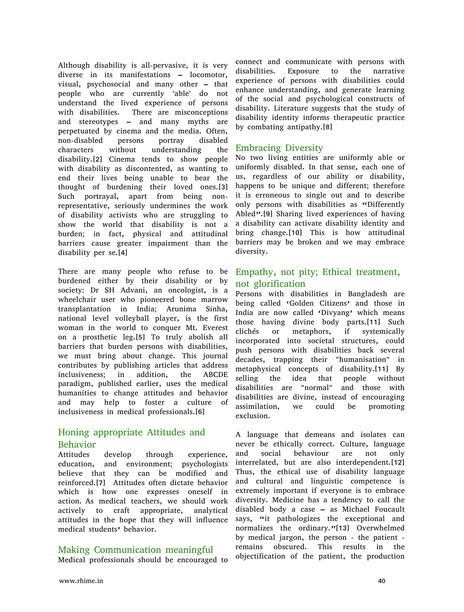Although disability is all-pervasive, it is very diverse in its manifestations – locomotor, visual, psychosocial and many other – that people who are currently 'able' do not understand the lived experience of persons with disabilities. There are misconceptions and stereotypes – and many myths are perpetuated by cinema and the media. Often, non-disabled persons portray disabled characters without understanding the disability.[2] Cinema tends to show people with disability as discontented, as wanting to end their lives being unable to bear the thought of burdening their loved ones.[3] Such portrayal, apart from being nonrepresentative, seriously undermines the work of disability activists who are struggling to show the world that disability is not a burden; in fact, physical and attitudinal barriers cause greater impairment than the disability per se.[4]

There are many people who refuse to be burdened either by their disability or by society: Dr SH Advani, an oncologist, is a wheelchair user who pioneered bone marrow transplantation in India; Arunima Sinha, national level volleyball player, is the first woman in the world to conquer Mt. Everest on a prosthetic leg.[5] To truly abolish all barriers that burden persons with disabilities, we must bring about change. This journal contributes by publishing articles that address inclusiveness; in addition, the ABCDE paradigm, published earlier, uses the medical humanities to change attitudes and behavior and may help to foster a culture of inclusiveness in medical professionals.[6]

#### Honing appropriate Attitudes and Behavior

Attitudes develop through experience, education, and environment; psychologists believe that they can be modified and reinforced.[7] Attitudes often dictate behavior which is how one expresses oneself in action. As medical teachers, we should work actively to craft appropriate, analytical attitudes in the hope that they will influence medical students' behavior.

#### Making Communication meaningful

Medical professionals should be encouraged to

connect and communicate with persons with disabilities. Exposure to the narrative experience of persons with disabilities could enhance understanding, and generate learning of the social and psychological constructs of disability. Literature suggests that the study of disability identity informs therapeutic practice by combating antipathy.[8]

#### Embracing Diversity

No two living entities are uniformly able or uniformly disabled. In that sense, each one of us, regardless of our ability or disability, happens to be unique and different; therefore it is erroneous to single out and to describe only persons with disabilities as "Differently Abled".[9] Sharing lived experiences of having a disability can activate disability identity and bring change.[10] This is how attitudinal barriers may be broken and we may embrace diversity.

#### Empathy, not pity; Ethical treatment, not glorification

Persons with disabilities in Bangladesh are being called 'Golden Citizens' and those in India are now called 'Divyang' which means those having divine body parts.[11] Such clichés or metaphors, if systemically incorporated into societal structures, could push persons with disabilities back several decades, trapping their "humanisation" in metaphysical concepts of disability.[11] By selling the idea that people without disabilities are "normal" and those with disabilities are divine, instead of encouraging assimilation, we could be promoting exclusion.

A language that demeans and isolates can never be ethically correct. Culture, language and social behaviour are not only interrelated, but are also interdependent.[12] Thus, the ethical use of disability language and cultural and linguistic competence is extremely important if everyone is to embrace diversity. Medicine has a tendency to call the disabled body a case – as Michael Foucault says, "it pathologizes the exceptional and normalizes the ordinary."[13] Overwhelmed by medical jargon, the person - the patient remains obscured. This results in the objectification of the patient, the production